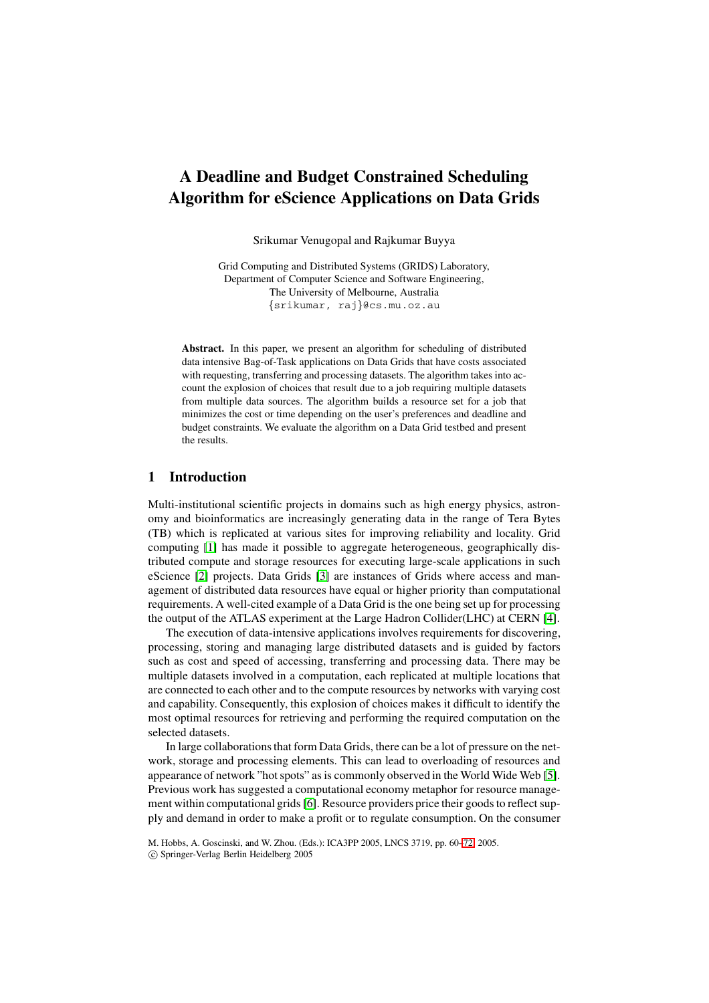# **A Deadline and Budget Constrained Scheduling Algorithm for eScience Applications on Data Grids**

Srikumar Venugopal and Rajkumar Buyya

Grid Computing and Distributed Systems (GRIDS) Laboratory, Department of Computer Science and Software Engineering, The University of Melbourne, Australia {srikumar, raj}@cs.mu.oz.au

**Abstract.** In this paper, we present an algorithm for scheduling of distributed data intensive Bag-of-Task applications on Data Grids that have costs associated with requesting, transferring and processing datasets. The algorithm takes into account the explosion of choices that result due to a job requiring multiple datasets from multiple data sources. The algorithm builds a resource set for a job that minimizes the cost or time depending on the user's preferences and deadline and budget constraints. We evaluate the algorithm on a Data Grid testbed and present the results.

# **1 Introduction**

Multi-institutional scientific projects in domains such as high energy physics, astronomy and bioinformatics are increasingly generating data in the range of Tera Bytes (TB) which is replicated at various sites for improving reliability and locality. Grid computing [\[1\]](#page-11-0) has made it possible to aggregate heterogeneous, geographically distributed compute and storage resources for executing large-scale applications in such eScience [\[2\]](#page-11-1) projects. Data Grids [\[3\]](#page-11-2) are instances of Grids where access and management of distributed data resources have equal or higher priority than computational requirements. A well-cited example of a Data Grid is the one being set up for processing the output of the ATLAS experiment at the Large Hadron Collider(LHC) at CERN [\[4\]](#page-11-3).

The execution of data-intensive applications involves requirements for discovering, processing, storing and managing large distributed datasets and is guided by factors such as cost and speed of accessing, transferring and processing data. There may be multiple datasets involved in a computation, each replicated at multiple locations that are connected to each other and to the compute resources by networks with varying cost and capability. Consequently, this explosion of choices makes it difficult to identify the most optimal resources for retrieving and performing the required computation on the selected datasets.

In large collaborations that form Data Grids, there can be a lot of pressure on the network, storage and processing elements. This can lead to overloading of resources and appearance of network "hot spots" as is commonly observed in the World Wide Web [\[5\]](#page-11-4). Previous work has suggested a computational economy metaphor for resource management within computational grids [\[6\]](#page-11-5). Resource providers price their goods to reflect supply and demand in order to make a profit or to regulate consumption. On the consumer

M. Hobbs, A. Goscinski, and W. Zhou. (Eds.): ICA3PP 2005, LNCS 3719, pp. 60[–72,](#page-11-6) 2005.

c Springer-Verlag Berlin Heidelberg 2005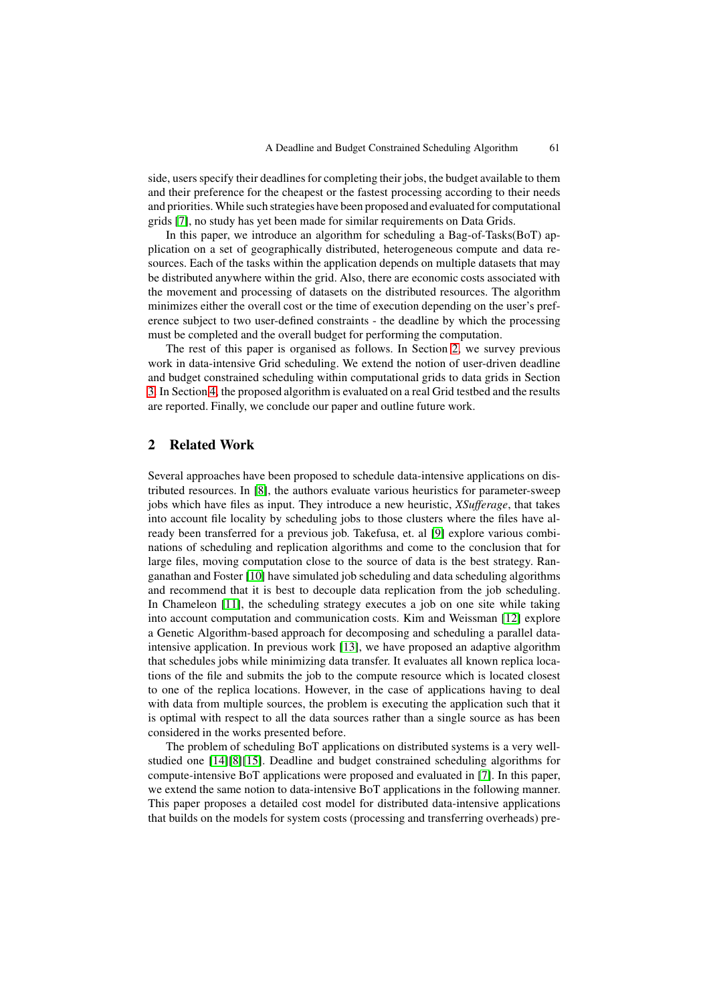side, users specify their deadlines for completing their jobs, the budget available to them and their preference for the cheapest or the fastest processing according to their needs and priorities. While such strategies have been proposed and evaluated for computational grids [\[7\]](#page-11-7), no study has yet been made for similar requirements on Data Grids.

In this paper, we introduce an algorithm for scheduling a Bag-of-Tasks(BoT) application on a set of geographically distributed, heterogeneous compute and data resources. Each of the tasks within the application depends on multiple datasets that may be distributed anywhere within the grid. Also, there are economic costs associated with the movement and processing of datasets on the distributed resources. The algorithm minimizes either the overall cost or the time of execution depending on the user's preference subject to two user-defined constraints - the deadline by which the processing must be completed and the overall budget for performing the computation.

The rest of this paper is organised as follows. In Section [2,](#page-1-0) we survey previous work in data-intensive Grid scheduling. We extend the notion of user-driven deadline and budget constrained scheduling within computational grids to data grids in Section [3.](#page-2-0) In Section [4,](#page-6-0) the proposed algorithm is evaluated on a real Grid testbed and the results are reported. Finally, we conclude our paper and outline future work.

## <span id="page-1-0"></span>**2 Related Work**

Several approaches have been proposed to schedule data-intensive applications on distributed resources. In [\[8\]](#page-11-8), the authors evaluate various heuristics for parameter-sweep jobs which have files as input. They introduce a new heuristic, *XSufferage*, that takes into account file locality by scheduling jobs to those clusters where the files have already been transferred for a previous job. Takefusa, et. al [\[9\]](#page-11-9) explore various combinations of scheduling and replication algorithms and come to the conclusion that for large files, moving computation close to the source of data is the best strategy. Ranganathan and Foster [\[10\]](#page-11-10) have simulated job scheduling and data scheduling algorithms and recommend that it is best to decouple data replication from the job scheduling. In Chameleon [\[11\]](#page-11-11), the scheduling strategy executes a job on one site while taking into account computation and communication costs. Kim and Weissman [\[12\]](#page-11-12) explore a Genetic Algorithm-based approach for decomposing and scheduling a parallel dataintensive application. In previous work [\[13\]](#page-11-13), we have proposed an adaptive algorithm that schedules jobs while minimizing data transfer. It evaluates all known replica locations of the file and submits the job to the compute resource which is located closest to one of the replica locations. However, in the case of applications having to deal with data from multiple sources, the problem is executing the application such that it is optimal with respect to all the data sources rather than a single source as has been considered in the works presented before.

The problem of scheduling BoT applications on distributed systems is a very wellstudied one [\[14\]](#page-11-14)[\[8\]](#page-11-8)[\[15\]](#page-12-0). Deadline and budget constrained scheduling algorithms for compute-intensive BoT applications were proposed and evaluated in [\[7\]](#page-11-7). In this paper, we extend the same notion to data-intensive BoT applications in the following manner. This paper proposes a detailed cost model for distributed data-intensive applications that builds on the models for system costs (processing and transferring overheads) pre-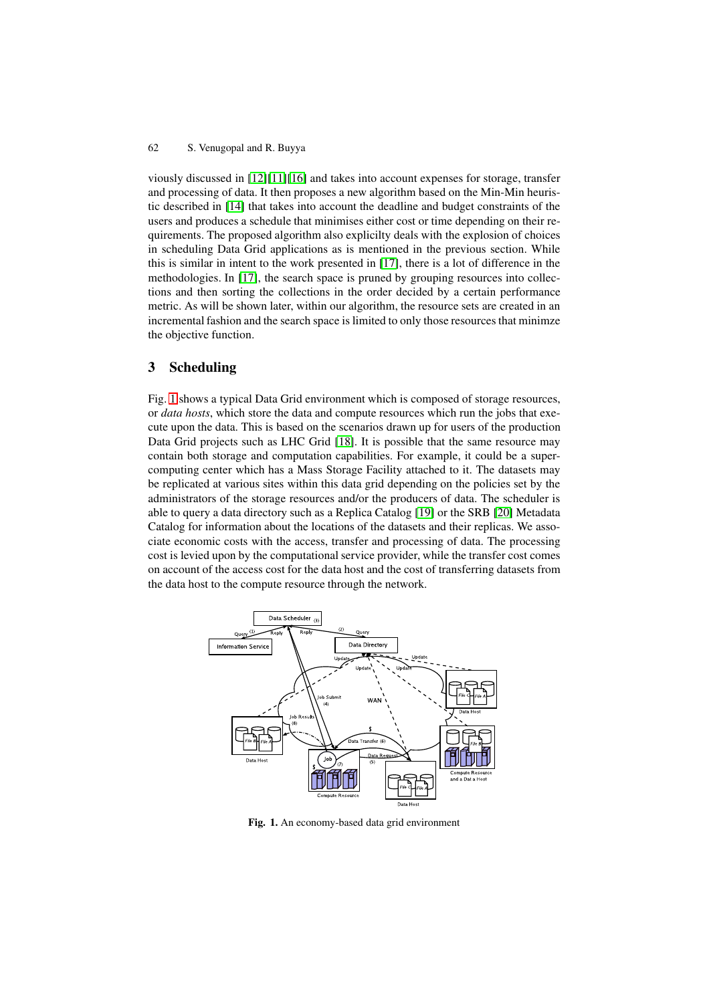viously discussed in [\[12\]](#page-11-12)[\[11\]](#page-11-11)[\[16\]](#page-12-1) and takes into account expenses for storage, transfer and processing of data. It then proposes a new algorithm based on the Min-Min heuristic described in [\[14\]](#page-11-14) that takes into account the deadline and budget constraints of the users and produces a schedule that minimises either cost or time depending on their requirements. The proposed algorithm also explicilty deals with the explosion of choices in scheduling Data Grid applications as is mentioned in the previous section. While this is similar in intent to the work presented in [\[17\]](#page-12-2), there is a lot of difference in the methodologies. In [\[17\]](#page-12-2), the search space is pruned by grouping resources into collections and then sorting the collections in the order decided by a certain performance metric. As will be shown later, within our algorithm, the resource sets are created in an incremental fashion and the search space is limited to only those resources that minimze the objective function.

# <span id="page-2-0"></span>**3 Scheduling**

Fig. [1](#page-2-1) shows a typical Data Grid environment which is composed of storage resources, or *data hosts*, which store the data and compute resources which run the jobs that execute upon the data. This is based on the scenarios drawn up for users of the production Data Grid projects such as LHC Grid [\[18\]](#page-12-3). It is possible that the same resource may contain both storage and computation capabilities. For example, it could be a supercomputing center which has a Mass Storage Facility attached to it. The datasets may be replicated at various sites within this data grid depending on the policies set by the administrators of the storage resources and/or the producers of data. The scheduler is able to query a data directory such as a Replica Catalog [\[19\]](#page-12-4) or the SRB [\[20\]](#page-12-5) Metadata Catalog for information about the locations of the datasets and their replicas. We associate economic costs with the access, transfer and processing of data. The processing cost is levied upon by the computational service provider, while the transfer cost comes on account of the access cost for the data host and the cost of transferring datasets from the data host to the compute resource through the network.



<span id="page-2-1"></span>**Fig. 1.** An economy-based data grid environment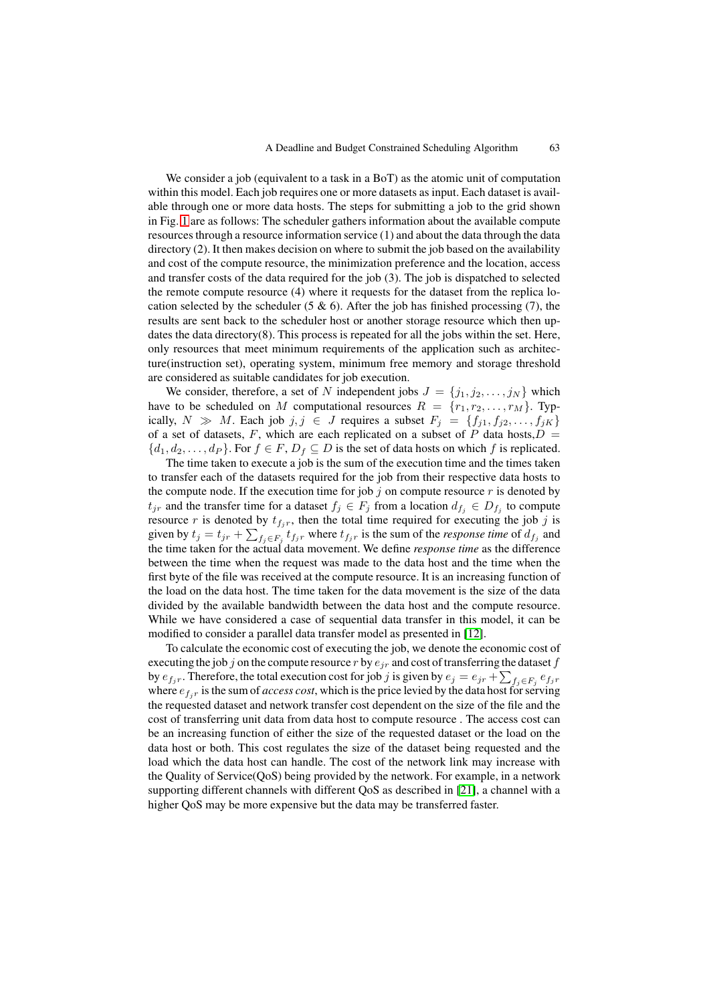We consider a job (equivalent to a task in a BoT) as the atomic unit of computation within this model. Each job requires one or more datasets as input. Each dataset is available through one or more data hosts. The steps for submitting a job to the grid shown in Fig. [1](#page-2-1) are as follows: The scheduler gathers information about the available compute resources through a resource information service (1) and about the data through the data directory (2). It then makes decision on where to submit the job based on the availability and cost of the compute resource, the minimization preference and the location, access and transfer costs of the data required for the job (3). The job is dispatched to selected the remote compute resource (4) where it requests for the dataset from the replica location selected by the scheduler (5  $\&$  6). After the job has finished processing (7), the results are sent back to the scheduler host or another storage resource which then updates the data directory(8). This process is repeated for all the jobs within the set. Here, only resources that meet minimum requirements of the application such as architecture(instruction set), operating system, minimum free memory and storage threshold are considered as suitable candidates for job execution.

We consider, therefore, a set of N independent jobs  $J = \{j_1, j_2, \ldots, j_N\}$  which have to be scheduled on M computational resources  $R = \{r_1, r_2, \ldots, r_M\}$ . Typically,  $N \gg M$ . Each job  $j, j \in J$  requires a subset  $F_j = \{f_{j1}, f_{j2},...,f_{jK}\}\$ of a set of datasets, F, which are each replicated on a subset of P data hosts, $D =$  ${d_1, d_2,..., d_P}$ . For  $f \in F$ ,  $D_f \subseteq D$  is the set of data hosts on which f is replicated.

The time taken to execute a job is the sum of the execution time and the times taken to transfer each of the datasets required for the job from their respective data hosts to the compute node. If the execution time for job  $j$  on compute resource  $r$  is denoted by  $t_{jr}$  and the transfer time for a dataset  $f_j \in F_j$  from a location  $d_{f_i} \in D_{f_i}$  to compute resource r is denoted by  $t_{f_i r}$ , then the total time required for executing the job j is given by  $t_j = t_{jr} + \sum_{f_j \in F_j} t_{f_jr}$  where  $t_{f_jr}$  is the sum of the *response time* of  $d_{f_j}$  and the time taken for the actual data movement. We define *response time* as the difference between the time when the request was made to the data host and the time when the first byte of the file was received at the compute resource. It is an increasing function of the load on the data host. The time taken for the data movement is the size of the data divided by the available bandwidth between the data host and the compute resource. While we have considered a case of sequential data transfer in this model, it can be modified to consider a parallel data transfer model as presented in [\[12\]](#page-11-12).

To calculate the economic cost of executing the job, we denote the economic cost of executing the job j on the compute resource r by  $e_{jr}$  and cost of transferring the dataset f by  $e_{f_jr}$ . Therefore, the total execution cost for job j is given by  $e_j = e_{jr} + \sum_{f_j \in F_j} e_{f_jr}$ where  $e_{f_i r}$  is the sum of *access cost*, which is the price levied by the data host for serving the requested dataset and network transfer cost dependent on the size of the file and the cost of transferring unit data from data host to compute resource . The access cost can be an increasing function of either the size of the requested dataset or the load on the data host or both. This cost regulates the size of the dataset being requested and the load which the data host can handle. The cost of the network link may increase with the Quality of Service(QoS) being provided by the network. For example, in a network supporting different channels with different QoS as described in [\[21\]](#page-12-6), a channel with a higher QoS may be more expensive but the data may be transferred faster.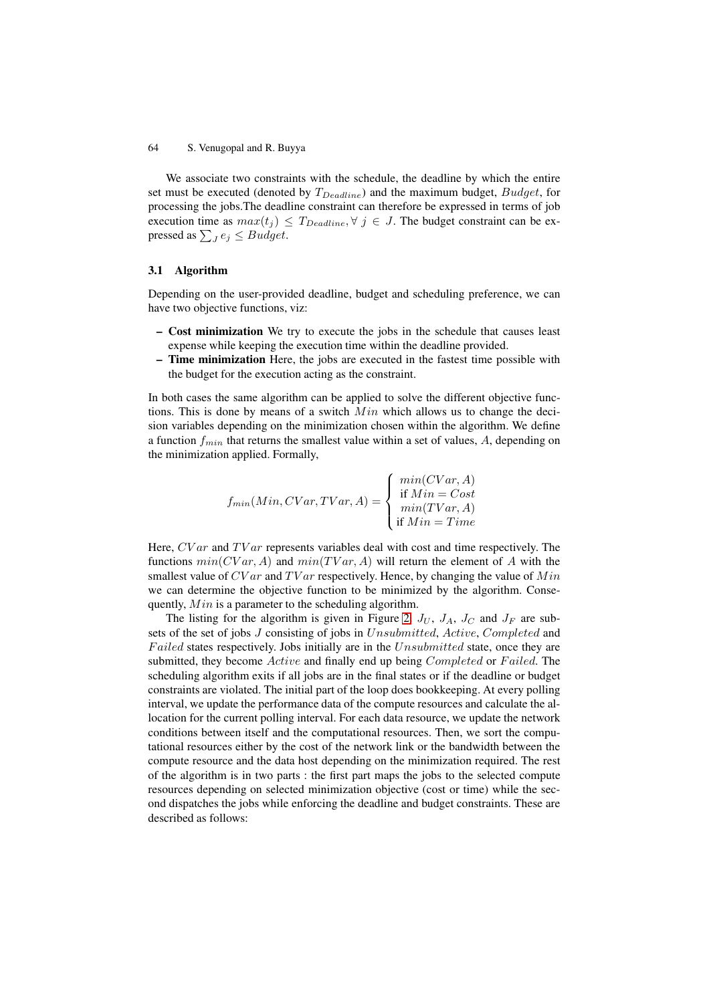We associate two constraints with the schedule, the deadline by which the entire set must be executed (denoted by  $T_{Deadline}$ ) and the maximum budget,  $Budget$ , for processing the jobs.The deadline constraint can therefore be expressed in terms of job execution time as  $max(t_j) \leq T_{Deadline}$ ,  $\forall j \in J$ . The budget constraint can be expressed as  $\sum_{J} e_j \leq Budget$ .

#### **3.1 Algorithm**

Depending on the user-provided deadline, budget and scheduling preference, we can have two objective functions, viz:

- **Cost minimization** We try to execute the jobs in the schedule that causes least expense while keeping the execution time within the deadline provided.
- **Time minimization** Here, the jobs are executed in the fastest time possible with the budget for the execution acting as the constraint.

In both cases the same algorithm can be applied to solve the different objective functions. This is done by means of a switch  $Min$  which allows us to change the decision variables depending on the minimization chosen within the algorithm. We define a function  $f_{min}$  that returns the smallest value within a set of values, A, depending on the minimization applied. Formally,

$$
f_{min}(Min, CVar, TVar, A) = \begin{cases} min(CVar, A) \\ \text{if } Min = Cost \\ min(TVar, A) \\ \text{if } Min = Time \end{cases}
$$

Here, CV ar and TV ar represents variables deal with cost and time respectively. The functions  $min(CVar, A)$  and  $min(TVar, A)$  will return the element of A with the smallest value of  $CVar$  and  $TVar$  respectively. Hence, by changing the value of  $Min$ we can determine the objective function to be minimized by the algorithm. Consequently, Min is a parameter to the scheduling algorithm.

The listing for the algorithm is given in Figure [2.](#page-5-0)  $J_U$ ,  $J_A$ ,  $J_C$  and  $J_F$  are subsets of the set of jobs J consisting of jobs in Unsubmitted, Active, Completed and Failed states respectively. Jobs initially are in the Unsubmitted state, once they are submitted, they become Active and finally end up being Completed or Failed. The scheduling algorithm exits if all jobs are in the final states or if the deadline or budget constraints are violated. The initial part of the loop does bookkeeping. At every polling interval, we update the performance data of the compute resources and calculate the allocation for the current polling interval. For each data resource, we update the network conditions between itself and the computational resources. Then, we sort the computational resources either by the cost of the network link or the bandwidth between the compute resource and the data host depending on the minimization required. The rest of the algorithm is in two parts : the first part maps the jobs to the selected compute resources depending on selected minimization objective (cost or time) while the second dispatches the jobs while enforcing the deadline and budget constraints. These are described as follows: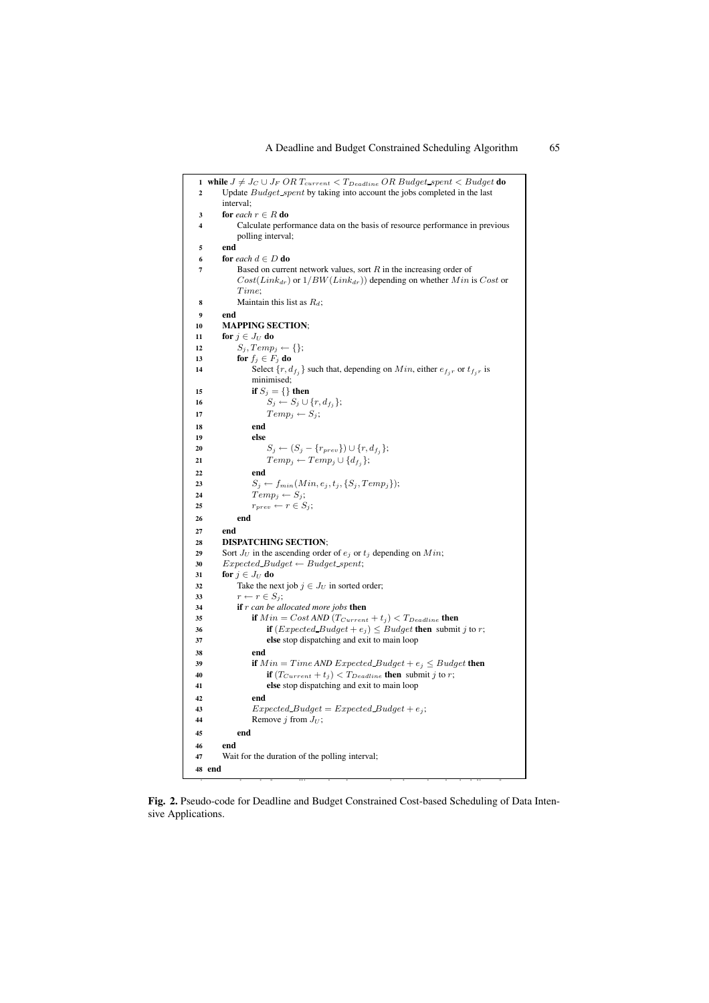| 2  | 1 while $J \neq J_C \cup J_F \ OR \ T_{current} < T_{Deadline} \ OR \ Budget\_spent < Budget$ do<br>Update <i>Budget spent</i> by taking into account the jobs completed in the last |
|----|--------------------------------------------------------------------------------------------------------------------------------------------------------------------------------------|
|    | interval:                                                                                                                                                                            |
| 3  | for each $r \in R$ do                                                                                                                                                                |
| 4  | Calculate performance data on the basis of resource performance in previous                                                                                                          |
|    |                                                                                                                                                                                      |
|    | polling interval;                                                                                                                                                                    |
| 5  | end                                                                                                                                                                                  |
| 6  | <b>for</b> each $d \in D$ <b>do</b>                                                                                                                                                  |
| 7  | Based on current network values, sort $R$ in the increasing order of                                                                                                                 |
|    | $Cost(Link_{dr})$ or $1/BW(Link_{dr}))$ depending on whether Min is Cost or                                                                                                          |
|    | Time;                                                                                                                                                                                |
| 8  | Maintain this list as $R_d$ ;                                                                                                                                                        |
| 9  | end                                                                                                                                                                                  |
|    |                                                                                                                                                                                      |
| 10 | <b>MAPPING SECTION;</b>                                                                                                                                                              |
| 11 | for $j \in J_U$ do                                                                                                                                                                   |
| 12 | $S_j, Temp_j \leftarrow \{\};$                                                                                                                                                       |
| 13 | for $f_j \in F_j$ do                                                                                                                                                                 |
| 14 | Select $\{r, d_{f_i}\}$ such that, depending on $Min$ , either $e_{f_i r}$ or $t_{f_i r}$ is                                                                                         |
|    | minimised;                                                                                                                                                                           |
| 15 | if $S_j = \{\}$ then                                                                                                                                                                 |
| 16 | $S_j \leftarrow S_j \cup \{r, d_{f_j}\};$                                                                                                                                            |
| 17 | $Temp_i \leftarrow S_i;$                                                                                                                                                             |
| 18 | end                                                                                                                                                                                  |
| 19 | else                                                                                                                                                                                 |
| 20 | $S_j \leftarrow (S_j - \{r_{prev}\}) \cup \{r, d_{f_j}\};$                                                                                                                           |
|    | $Temp_j \leftarrow Temp_j \cup \{d_{f_j}\};$                                                                                                                                         |
| 21 |                                                                                                                                                                                      |
| 22 | end                                                                                                                                                                                  |
| 23 | $S_j \leftarrow f_{min}(Min, e_j, t_j, \{S_j, Temp_j\});$                                                                                                                            |
| 24 | $Temp_i \leftarrow S_i;$                                                                                                                                                             |
| 25 | $r_{prev} \leftarrow r \in S_i;$                                                                                                                                                     |
| 26 | end                                                                                                                                                                                  |
| 27 | end                                                                                                                                                                                  |
| 28 | <b>DISPATCHING SECTION;</b>                                                                                                                                                          |
| 29 | Sort $J_U$ in the ascending order of $e_j$ or $t_j$ depending on $Min$ ;                                                                                                             |
| 30 | $Expected$ Budget $\leftarrow$ Budget spent;                                                                                                                                         |
| 31 | for $j \in J_U$ do                                                                                                                                                                   |
| 32 | Take the next job $j \in J_U$ in sorted order;                                                                                                                                       |
| 33 | $r \leftarrow r \in S_j;$                                                                                                                                                            |
| 34 | if $r$ can be allocated more jobs then                                                                                                                                               |
| 35 | if $Min = Cost \, AND \, (T_{Current} + t_j) < T_{Deadline}$ then                                                                                                                    |
| 36 | <b>if</b> $(Expected\_Budget + e_j) \leq Budget$ <b>then</b> submit <i>j</i> to <i>r</i> ;                                                                                           |
| 37 | else stop dispatching and exit to main loop                                                                                                                                          |
| 38 | end                                                                                                                                                                                  |
| 39 | <b>if</b> $Min = Time$ AND $Expected\_Budget + e_j \leq Budget$ <b>then</b>                                                                                                          |
| 40 | <b>if</b> $(T_{Current} + t_j) < T_{Deadline}$ then submit j to r;                                                                                                                   |
| 41 | else stop dispatching and exit to main loop                                                                                                                                          |
|    |                                                                                                                                                                                      |
| 42 | end                                                                                                                                                                                  |
| 43 | $Expected_Budget = Expected_Budget + e_j;$                                                                                                                                           |
| 44 | Remove j from $J_U$ ;                                                                                                                                                                |
| 45 | end                                                                                                                                                                                  |
| 46 | end                                                                                                                                                                                  |
| 47 | Wait for the duration of the polling interval;                                                                                                                                       |
|    | 48 end                                                                                                                                                                               |
|    |                                                                                                                                                                                      |

<span id="page-5-0"></span>**Fig. 2.** Pseudo-code for Deadline and Budget Constrained Cost-based Scheduling of Data Intensive Applications.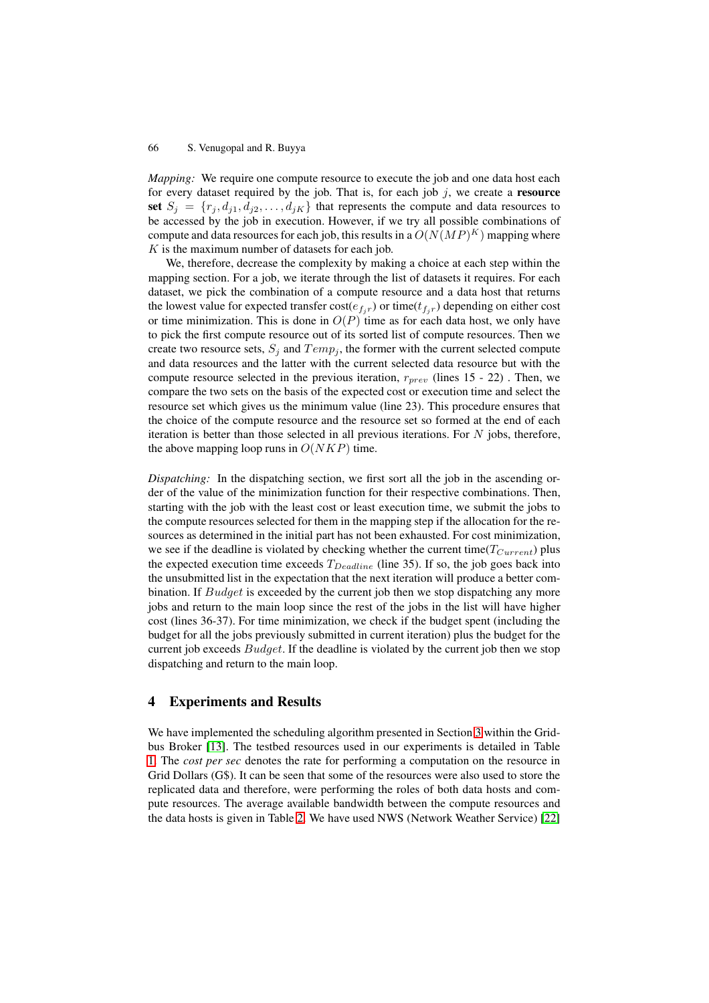*Mapping:* We require one compute resource to execute the job and one data host each for every dataset required by the job. That is, for each job j, we create a **resource** set  $S_j = \{r_j, d_{j1}, d_{j2}, \ldots, d_{jK}\}\$  that represents the compute and data resources to be accessed by the job in execution. However, if we try all possible combinations of compute and data resources for each job, this results in a  $O(N(MP)^K)$  mapping where  $K$  is the maximum number of datasets for each job.

We, therefore, decrease the complexity by making a choice at each step within the mapping section. For a job, we iterate through the list of datasets it requires. For each dataset, we pick the combination of a compute resource and a data host that returns the lowest value for expected transfer  $cost(e_{f,r})$  or time( $t_{f,r}$ ) depending on either cost or time minimization. This is done in  $O(P)$  time as for each data host, we only have to pick the first compute resource out of its sorted list of compute resources. Then we create two resource sets,  $S_i$  and  $Temp_i$ , the former with the current selected compute and data resources and the latter with the current selected data resource but with the compute resource selected in the previous iteration,  $r_{prev}$  (lines 15 - 22). Then, we compare the two sets on the basis of the expected cost or execution time and select the resource set which gives us the minimum value (line 23). This procedure ensures that the choice of the compute resource and the resource set so formed at the end of each iteration is better than those selected in all previous iterations. For  $N$  jobs, therefore, the above mapping loop runs in  $O(NKP)$  time.

*Dispatching:* In the dispatching section, we first sort all the job in the ascending order of the value of the minimization function for their respective combinations. Then, starting with the job with the least cost or least execution time, we submit the jobs to the compute resources selected for them in the mapping step if the allocation for the resources as determined in the initial part has not been exhausted. For cost minimization, we see if the deadline is violated by checking whether the current time( $T_{Current}$ ) plus the expected execution time exceeds  $T_{Deadline}$  (line 35). If so, the job goes back into the unsubmitted list in the expectation that the next iteration will produce a better combination. If Budget is exceeded by the current job then we stop dispatching any more jobs and return to the main loop since the rest of the jobs in the list will have higher cost (lines 36-37). For time minimization, we check if the budget spent (including the budget for all the jobs previously submitted in current iteration) plus the budget for the current job exceeds Budget. If the deadline is violated by the current job then we stop dispatching and return to the main loop.

## <span id="page-6-0"></span>**4 Experiments and Results**

We have implemented the scheduling algorithm presented in Section [3](#page-2-0) within the Gridbus Broker [\[13\]](#page-11-13). The testbed resources used in our experiments is detailed in Table [1.](#page-7-0) The *cost per sec* denotes the rate for performing a computation on the resource in Grid Dollars (G\$). It can be seen that some of the resources were also used to store the replicated data and therefore, were performing the roles of both data hosts and compute resources. The average available bandwidth between the compute resources and the data hosts is given in Table [2.](#page-8-0) We have used NWS (Network Weather Service) [\[22\]](#page-12-7)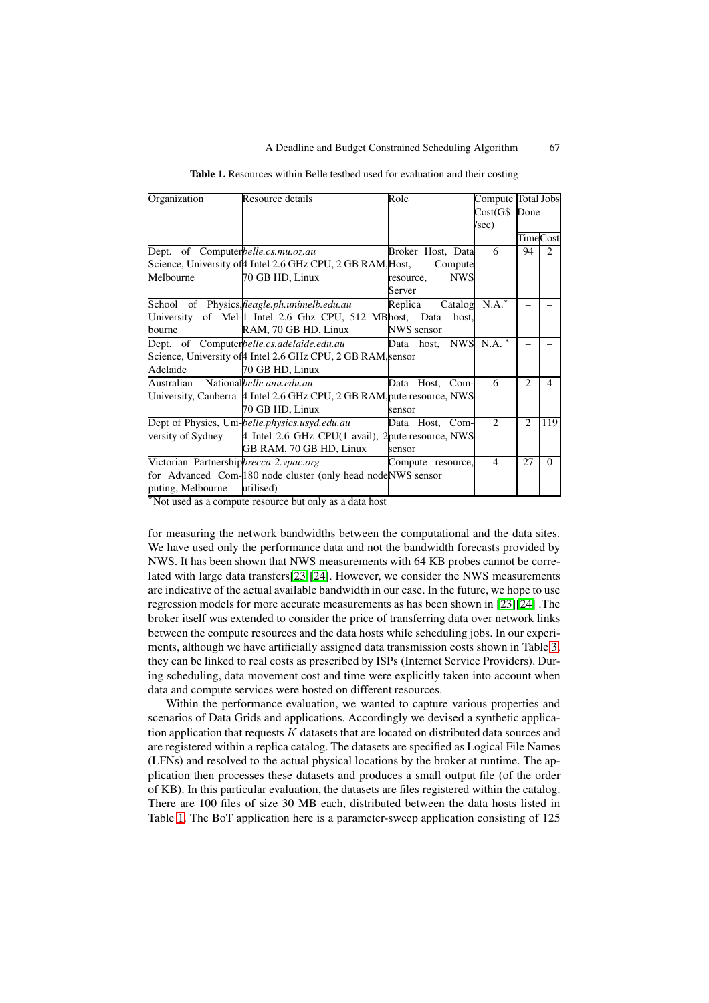<span id="page-7-0"></span>

| Organization                           | Resource details                                                       | Role                    | Compute                     | <b>Total Jobs</b> |                |
|----------------------------------------|------------------------------------------------------------------------|-------------------------|-----------------------------|-------------------|----------------|
|                                        |                                                                        |                         | Cost(G\$)                   | Done              |                |
|                                        |                                                                        |                         | /sec)                       |                   |                |
|                                        |                                                                        |                         |                             | TimeCost          |                |
| Dept. of Computerbelle.cs.mu.oz.au     |                                                                        | Broker Host, Data       | 6                           | 94                | $\overline{2}$ |
|                                        | Science, University of 4 Intel 2.6 GHz CPU, 2 GB RAM, Host,            | Compute                 |                             |                   |                |
| Melbourne                              | 70 GB HD, Linux                                                        | <b>NWS</b><br>resource, |                             |                   |                |
|                                        |                                                                        | Server                  |                             |                   |                |
|                                        | School of Physics, fleagle.ph.unimelb.edu.au                           | Replica<br>Catalog      | $N.A.^*$                    |                   |                |
|                                        | University of Mel- <sup>[1</sup> Intel 2.6 Ghz CPU, 512 MBhost, Data   | host,                   |                             |                   |                |
| bourne                                 | RAM, 70 GB HD, Linux                                                   | NWS sensor              |                             |                   |                |
|                                        | Dept. of Computerbelle.cs.adelaide.edu.au                              | Data host, NWS          | N.A. *                      |                   |                |
|                                        | Science, University of 4 Intel 2.6 GHz CPU, 2 GB RAM, sensor           |                         |                             |                   |                |
| Adelaide                               | 70 GB HD, Linux                                                        |                         |                             |                   |                |
| Australian Nationalbelle.anu.edu.au    |                                                                        | Data Host, Com-         | 6                           | $\mathfrak{D}$    | 4              |
|                                        | University, Canberra 4 Intel 2.6 GHz CPU, 2 GB RAM, pute resource, NWS |                         |                             |                   |                |
|                                        | 70 GB HD, Linux                                                        | sensor                  |                             |                   |                |
|                                        | Dept of Physics, Uni-belle.physics.usyd.edu.au                         | Data Host,<br>Com-      | $\mathcal{D}_{\mathcal{L}}$ | 2                 | 119            |
| versity of Sydney                      | 4 Intel 2.6 GHz CPU(1 avail), 2 pute resource, NWS                     |                         |                             |                   |                |
|                                        | GB RAM, 70 GB HD, Linux                                                | sensor                  |                             |                   |                |
| Victorian Partnershipbrecca-2.vpac.org |                                                                        | Compute resource,       | $\overline{4}$              | 27                | $\Omega$       |
|                                        | for Advanced Com-180 node cluster (only head nodeNWS sensor            |                         |                             |                   |                |
| puting, Melbourne                      | utilised)                                                              |                         |                             |                   |                |

| Table 1. Resources within Belle testbed used for evaluation and their costing |  |  |  |  |  |  |
|-------------------------------------------------------------------------------|--|--|--|--|--|--|
|-------------------------------------------------------------------------------|--|--|--|--|--|--|

<sup>∗</sup>Not used as a compute resource but only as a data host

for measuring the network bandwidths between the computational and the data sites. We have used only the performance data and not the bandwidth forecasts provided by NWS. It has been shown that NWS measurements with 64 KB probes cannot be correlated with large data transfers[\[23\]](#page-12-8)[\[24\]](#page-12-9). However, we consider the NWS measurements are indicative of the actual available bandwidth in our case. In the future, we hope to use regression models for more accurate measurements as has been shown in [\[23\]](#page-12-8)[\[24\]](#page-12-9) .The broker itself was extended to consider the price of transferring data over network links between the compute resources and the data hosts while scheduling jobs. In our experiments, although we have artificially assigned data transmission costs shown in Table [3,](#page-8-1) they can be linked to real costs as prescribed by ISPs (Internet Service Providers). During scheduling, data movement cost and time were explicitly taken into account when data and compute services were hosted on different resources.

Within the performance evaluation, we wanted to capture various properties and scenarios of Data Grids and applications. Accordingly we devised a synthetic application application that requests  $K$  datasets that are located on distributed data sources and are registered within a replica catalog. The datasets are specified as Logical File Names (LFNs) and resolved to the actual physical locations by the broker at runtime. The application then processes these datasets and produces a small output file (of the order of KB). In this particular evaluation, the datasets are files registered within the catalog. There are 100 files of size 30 MB each, distributed between the data hosts listed in Table [1.](#page-7-0) The BoT application here is a parameter-sweep application consisting of 125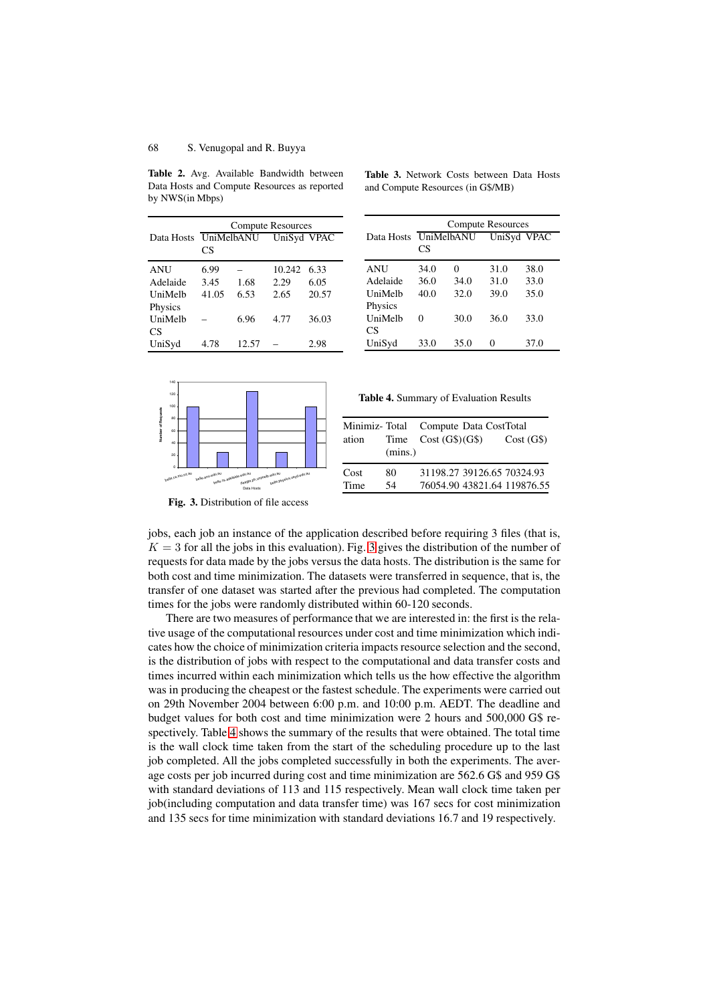<span id="page-8-0"></span>**Table 2.** Avg. Available Bandwidth between Data Hosts and Compute Resources as reported by NWS(in Mbps)

|            | <b>Compute Resources</b> |       |             |       |
|------------|--------------------------|-------|-------------|-------|
| Data Hosts | <b>UniMelbANU</b><br>CS  |       | UniSyd VPAC |       |
| <b>ANU</b> | 6.99                     |       | 10.242      | 6.33  |
| Adelaide   | 3.45                     | 1.68  | 2.29        | 6.05  |
| UniMelb    | 41.05                    | 6.53  | 2.65        | 20.57 |
| Physics    |                          |       |             |       |
| UniMelb    |                          | 6.96  | 4.77        | 36.03 |
| CS         |                          |       |             |       |
| UniSyd     | 4.78                     | 12.57 |             | 2.98  |

|            | <b>Compute Resources</b> |            |      |             |
|------------|--------------------------|------------|------|-------------|
| Data Hosts |                          | UniMelbANU |      | UniSyd VPAC |
|            | CS                       |            |      |             |
| <b>ANU</b> | 34.0                     | 0          | 31.0 | 38.0        |
| Adelaide   | 36.0                     | 34.0       | 31.0 | 33.0        |
| UniMelh    | 40.0                     | 32.0       | 39.0 | 35.0        |
| Physics    |                          |            |      |             |
| UniMelb    | 0                        | 30.0       | 36.0 | 33.0        |
| CS         |                          |            |      |             |
| UniSyd     | 33.0                     | 35.0       |      | 37.0        |

<span id="page-8-1"></span>**Table 3.** Network Costs between Data Hosts and Compute Resources (in G\$/MB)



<span id="page-8-3"></span>

| ation | (mins.) | Minimiz-Total Compute Data CostTotal<br>Time $Cost(G$)(G$)$ | Cost(G\$) |
|-------|---------|-------------------------------------------------------------|-----------|
| Cost  | 80      | 31198.27 39126.65 70324.93                                  |           |
| Time  | 54      | 76054.90 43821.64 119876.55                                 |           |

**Fig. 3.** Distribution of file access

<span id="page-8-2"></span>jobs, each job an instance of the application described before requiring 3 files (that is,  $K = 3$  $K = 3$  for all the jobs in this evaluation). Fig. 3 gives the distribution of the number of requests for data made by the jobs versus the data hosts. The distribution is the same for both cost and time minimization. The datasets were transferred in sequence, that is, the transfer of one dataset was started after the previous had completed. The computation times for the jobs were randomly distributed within 60-120 seconds.

There are two measures of performance that we are interested in: the first is the relative usage of the computational resources under cost and time minimization which indicates how the choice of minimization criteria impacts resource selection and the second, is the distribution of jobs with respect to the computational and data transfer costs and times incurred within each minimization which tells us the how effective the algorithm was in producing the cheapest or the fastest schedule. The experiments were carried out on 29th November 2004 between 6:00 p.m. and 10:00 p.m. AEDT. The deadline and budget values for both cost and time minimization were 2 hours and 500,000 G\$ respectively. Table [4](#page-8-3) shows the summary of the results that were obtained. The total time is the wall clock time taken from the start of the scheduling procedure up to the last job completed. All the jobs completed successfully in both the experiments. The average costs per job incurred during cost and time minimization are 562.6 G\$ and 959 G\$ with standard deviations of 113 and 115 respectively. Mean wall clock time taken per job(including computation and data transfer time) was 167 secs for cost minimization and 135 secs for time minimization with standard deviations 16.7 and 19 respectively.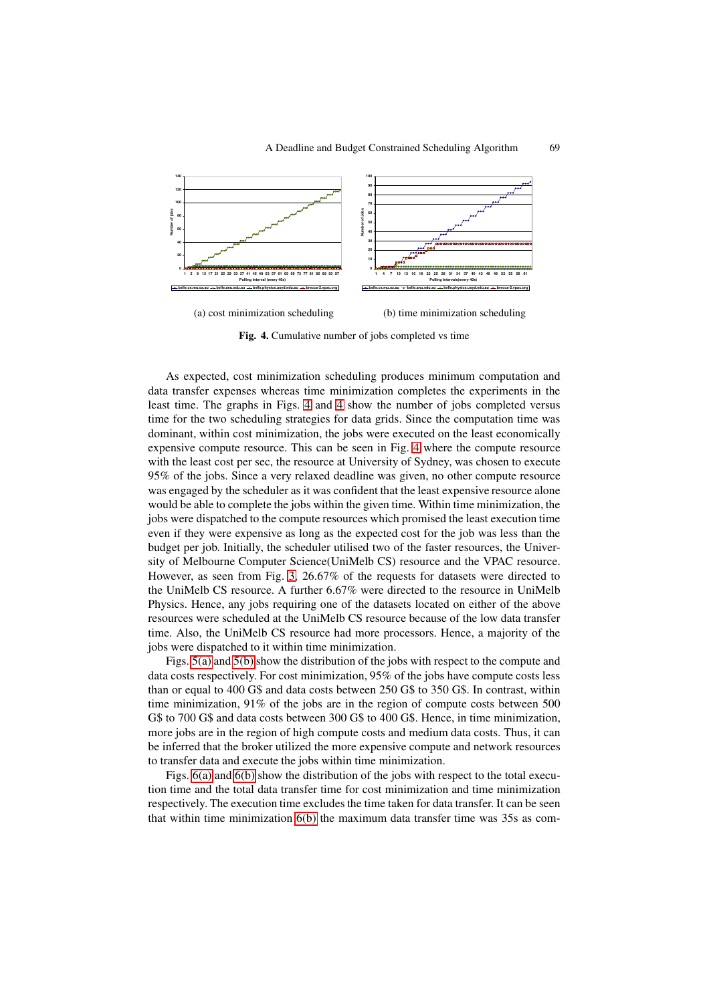

**Fig. 4.** Cumulative number of jobs completed vs time

As expected, cost minimization scheduling produces minimum computation and data transfer expenses whereas time minimization completes the experiments in the least time. The graphs in Figs. [4](#page-8-3) and [4](#page-8-3) show the number of jobs completed versus time for the two scheduling strategies for data grids. Since the computation time was dominant, within cost minimization, the jobs were executed on the least economically expensive compute resource. This can be seen in Fig. [4](#page-8-3) where the compute resource with the least cost per sec, the resource at University of Sydney, was chosen to execute 95% of the jobs. Since a very relaxed deadline was given, no other compute resource was engaged by the scheduler as it was confident that the least expensive resource alone would be able to complete the jobs within the given time. Within time minimization, the jobs were dispatched to the compute resources which promised the least execution time even if they were expensive as long as the expected cost for the job was less than the budget per job. Initially, the scheduler utilised two of the faster resources, the University of Melbourne Computer Science(UniMelb CS) resource and the VPAC resource. However, as seen from Fig. [3,](#page-8-2) 26.67% of the requests for datasets were directed to the UniMelb CS resource. A further 6.67% were directed to the resource in UniMelb Physics. Hence, any jobs requiring one of the datasets located on either of the above resources were scheduled at the UniMelb CS resource because of the low data transfer time. Also, the UniMelb CS resource had more processors. Hence, a majority of the jobs were dispatched to it within time minimization.

Figs. [5\(a\)](#page-10-0) and [5\(b\)](#page-10-1) show the distribution of the jobs with respect to the compute and data costs respectively. For cost minimization, 95% of the jobs have compute costs less than or equal to 400 G\$ and data costs between 250 G\$ to 350 G\$. In contrast, within time minimization, 91% of the jobs are in the region of compute costs between 500 G\$ to 700 G\$ and data costs between 300 G\$ to 400 G\$. Hence, in time minimization, more jobs are in the region of high compute costs and medium data costs. Thus, it can be inferred that the broker utilized the more expensive compute and network resources to transfer data and execute the jobs within time minimization.

Figs. [6\(a\)](#page-10-2) and [6\(b\)](#page-10-3) show the distribution of the jobs with respect to the total execution time and the total data transfer time for cost minimization and time minimization respectively. The execution time excludes the time taken for data transfer. It can be seen that within time minimization [6\(b\)](#page-10-3) the maximum data transfer time was 35s as com-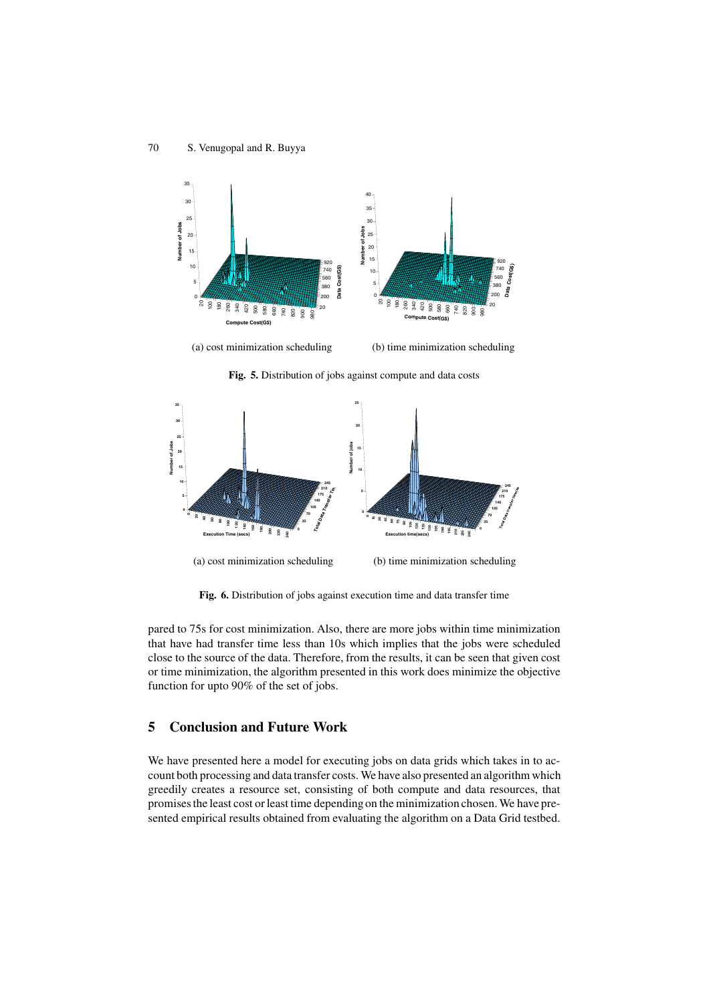<span id="page-10-0"></span>

(a) cost minimization scheduling

(b) time minimization scheduling

<span id="page-10-1"></span>

<span id="page-10-2"></span>

<span id="page-10-3"></span>**Fig. 6.** Distribution of jobs against execution time and data transfer time

pared to 75s for cost minimization. Also, there are more jobs within time minimization that have had transfer time less than 10s which implies that the jobs were scheduled close to the source of the data. Therefore, from the results, it can be seen that given cost or time minimization, the algorithm presented in this work does minimize the objective function for upto 90% of the set of jobs.

# **5 Conclusion and Future Work**

We have presented here a model for executing jobs on data grids which takes in to account both processing and data transfer costs. We have also presented an algorithm which greedily creates a resource set, consisting of both compute and data resources, that promises the least cost or least time depending on the minimization chosen. We have presented empirical results obtained from evaluating the algorithm on a Data Grid testbed.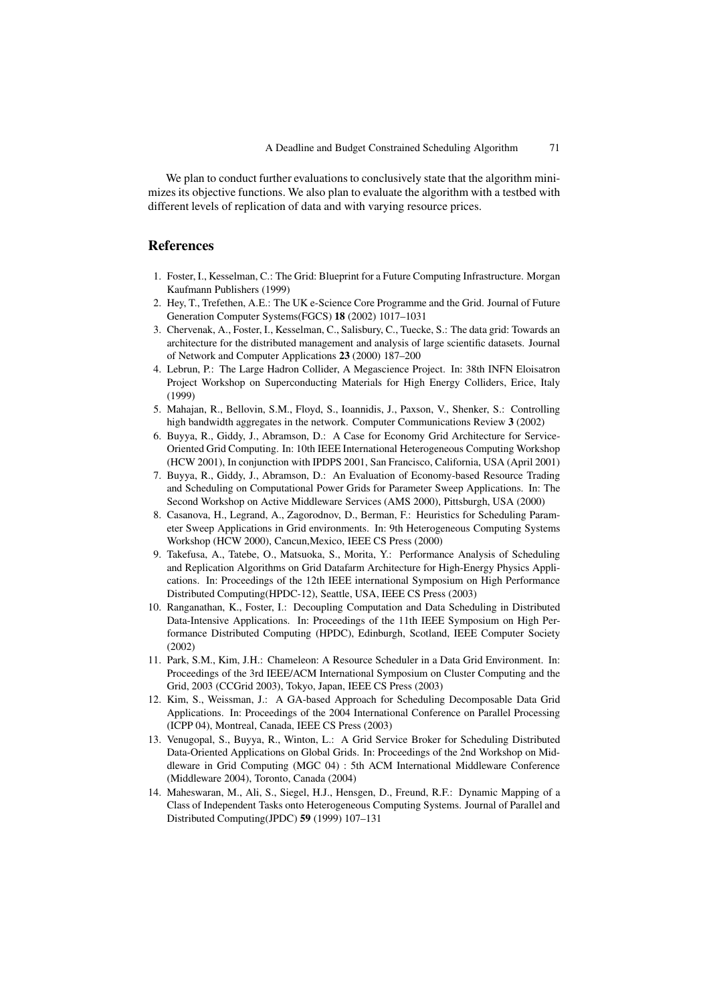We plan to conduct further evaluations to conclusively state that the algorithm minimizes its objective functions. We also plan to evaluate the algorithm with a testbed with different levels of replication of data and with varying resource prices.

# <span id="page-11-6"></span><span id="page-11-0"></span>**References**

- 1. Foster, I., Kesselman, C.: The Grid: Blueprint for a Future Computing Infrastructure. Morgan Kaufmann Publishers (1999)
- <span id="page-11-1"></span>2. Hey, T., Trefethen, A.E.: The UK e-Science Core Programme and the Grid. Journal of Future Generation Computer Systems(FGCS) **18** (2002) 1017–1031
- <span id="page-11-2"></span>3. Chervenak, A., Foster, I., Kesselman, C., Salisbury, C., Tuecke, S.: The data grid: Towards an architecture for the distributed management and analysis of large scientific datasets. Journal of Network and Computer Applications **23** (2000) 187–200
- <span id="page-11-3"></span>4. Lebrun, P.: The Large Hadron Collider, A Megascience Project. In: 38th INFN Eloisatron Project Workshop on Superconducting Materials for High Energy Colliders, Erice, Italy (1999)
- <span id="page-11-4"></span>5. Mahajan, R., Bellovin, S.M., Floyd, S., Ioannidis, J., Paxson, V., Shenker, S.: Controlling high bandwidth aggregates in the network. Computer Communications Review **3** (2002)
- <span id="page-11-5"></span>6. Buyya, R., Giddy, J., Abramson, D.: A Case for Economy Grid Architecture for Service-Oriented Grid Computing. In: 10th IEEE International Heterogeneous Computing Workshop (HCW 2001), In conjunction with IPDPS 2001, San Francisco, California, USA (April 2001)
- <span id="page-11-7"></span>7. Buyya, R., Giddy, J., Abramson, D.: An Evaluation of Economy-based Resource Trading and Scheduling on Computational Power Grids for Parameter Sweep Applications. In: The Second Workshop on Active Middleware Services (AMS 2000), Pittsburgh, USA (2000)
- <span id="page-11-8"></span>8. Casanova, H., Legrand, A., Zagorodnov, D., Berman, F.: Heuristics for Scheduling Parameter Sweep Applications in Grid environments. In: 9th Heterogeneous Computing Systems Workshop (HCW 2000), Cancun,Mexico, IEEE CS Press (2000)
- <span id="page-11-9"></span>9. Takefusa, A., Tatebe, O., Matsuoka, S., Morita, Y.: Performance Analysis of Scheduling and Replication Algorithms on Grid Datafarm Architecture for High-Energy Physics Applications. In: Proceedings of the 12th IEEE international Symposium on High Performance Distributed Computing(HPDC-12), Seattle, USA, IEEE CS Press (2003)
- <span id="page-11-10"></span>10. Ranganathan, K., Foster, I.: Decoupling Computation and Data Scheduling in Distributed Data-Intensive Applications. In: Proceedings of the 11th IEEE Symposium on High Performance Distributed Computing (HPDC), Edinburgh, Scotland, IEEE Computer Society (2002)
- <span id="page-11-11"></span>11. Park, S.M., Kim, J.H.: Chameleon: A Resource Scheduler in a Data Grid Environment. In: Proceedings of the 3rd IEEE/ACM International Symposium on Cluster Computing and the Grid, 2003 (CCGrid 2003), Tokyo, Japan, IEEE CS Press (2003)
- <span id="page-11-12"></span>12. Kim, S., Weissman, J.: A GA-based Approach for Scheduling Decomposable Data Grid Applications. In: Proceedings of the 2004 International Conference on Parallel Processing (ICPP 04), Montreal, Canada, IEEE CS Press (2003)
- <span id="page-11-13"></span>13. Venugopal, S., Buyya, R., Winton, L.: A Grid Service Broker for Scheduling Distributed Data-Oriented Applications on Global Grids. In: Proceedings of the 2nd Workshop on Middleware in Grid Computing (MGC 04) : 5th ACM International Middleware Conference (Middleware 2004), Toronto, Canada (2004)
- <span id="page-11-14"></span>14. Maheswaran, M., Ali, S., Siegel, H.J., Hensgen, D., Freund, R.F.: Dynamic Mapping of a Class of Independent Tasks onto Heterogeneous Computing Systems. Journal of Parallel and Distributed Computing(JPDC) **59** (1999) 107–131